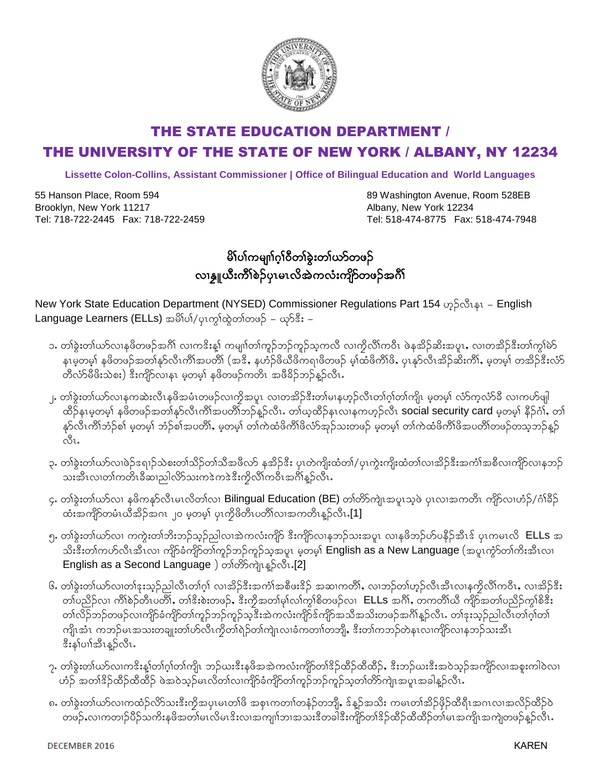

## THE STATE EDUCATION DEPARTMENT / THE UNIVERSITY OF THE STATE OF NEW YORK / ALBANY, NY 12234

**Lissette Colon-Collins, Assistant Commissioner | Office of Bilingual Education and World Languages**

55 Hanson Place, Room 594 Brooklyn, New York 11217 Tel: 718-722-2445 Fax: 718-722-2459

89 Washington Avenue, Room 528EB Albany, New York 12234 Tel: 518-474-8775 Fax: 518-474-7948

## မိ1်ပါကမျာ်က္ပါဝီတနဲ့းတာ်ယာ်တဖဉ် လ၊နွူယီးကိ်္ဂါစဉ်ပုၤမၤလိအဲကလံးကျိဉ်တဖဉ်အင်္ဂါ

 $N$ ew York State Education Department (NYSED) Commissioner Regulations Part 154 ဟွဉ်လီၤနၤ – English Language Learners (ELLs) အမိါပါ/ပုၤက္ဂါထွဲတါတဖဉ် – ယှာ်ဒီး –

- ၁. တါခွဲးတါယာ်လၢနဖိတဖဉ်အဂိါ လ၊ကဒိးန္၊် ကမျ၊ာ်တါကူဉ်ဘဉ်ကူဉ်သူကလီ လ၊ကွိလိါကဝီၤ ဖဲနအိဉ်ဆိးအပူၤ, လ၊တအိဉ်ဒီးတါကွါမဲာ နၤမ္စ္တာမွာ နဖိတဖဉ်အတၤနာ်လီၤကီၤ်အပတိ၊ (အဒိ, နဟဉ်ဖိယီဖိကၡၢဖိတဖဉ် မူ၊ ထီဖိကီၤ်ဖိ, ပုၤန္နာလီၤအိဉ်ဆီးကီၤ်, မူတမူ၊ တအဉ်ဒီးလံဉ တီလံာမိဖိးသဲစး) ဒီးကျိာလၢနၤ မ့တမ့္ နဖိတဖဉ်ကတိၤ အဖိခိဉ်ဘဉ်နဉ်လီၤ.
- ၂. တါခွဲးတါယာ်လၢနကဆဲးလီၤနဖိအမံၤတဖဉ်လၢကိုအပူၤ လ၊တအိဉ်ဒီးတါမၢနဟ္ဉ်လီၤတါဂ္၊်တါကျိၤ မှတမ့ါ လံာ်က္ခလံာ်ခ်ီ လ၊ကဟ်ဖျါ ထိဉ်နၤမှတမှါ နဖိတဖဉ်အတါနှာ်လီၤကိါအပတိါဘဉ်န့ဉ်လီၤ. တါယ့ထိဉ်နၤလၢနကဟ္ဉ်လီၤ **social security card** မှတမှါ နိဉ်ဂႆၢ်, တါ နှာ်လီၤကိၢိဘံဉ်စါ မဲ့တမ့်၊ ဘံဉ်စါအပတိ၊်, မဲ့တမ့်၊ တါကဲထံဖိကိၢ်ဖိလံာအုဉ်သးတဖဉ် မဲ့တမ့်၊ တါကဲထံဖိကိၢ်ဖိအပတိၢ်တဖဉ်တသူဘဉ်နဉ် ៱៓៓៲
- ၃. တါခွဲးတါယာ်လၢဖဲဉ်ဒရၢဉ်သဲစးတ၊်သိဉ်တ၊်သီအဖိလာ် နအိဉ်ဒီး ပုၤတဲကျိးထံတ၊်/ပုၤကွဲးကျိးထံတ၊်လ၊အိဉ်ဒီးအင်္ကါအစီလ၊ကျိာ်လ၊နဘဉ် သးအီၤလ၊တၢ်ကတိၤခီဆ၊ညါလိ>်သးကဒဲကဒဲဒီးကိုလိၤ်ကဝိၤအင်္ဂါနဉ်လီၤ.
- ၄. တါခဲ့းတါယာ်လ၊ နဖိကနှာ်လီၤမၤလိတါလ၊ Bilingual Education (BE) တါတိာ်ကျဲၤအပူၤသ့ဖဲ ပုၤလၢအကတိၤ ကျိဉ်လ၊ဟံဉ်/ဂံ၊ိခိဉ်  $\alpha$ းအကျိာ်တမံၤယီအိဉ်အဂၤ ၂၀ မှတမ့ $\alpha$  ပုၤကွိဖိတီၤပတိၤ်လၢအကတိၤန္<code>S $\alpha$ 1.[1]</code>
- ၅. တ)်ခဲ့းတ)်ယာလ၊ ကကဲ့းတ)်ဘိးဘဉ်သွဉ်ညါလ၊အဲကလံးကျိဉ် ဒီးကျိဉ်လ၊နဘဉ်သးအပူ၊ လ၊နဖိဘဉ်ဟ်ပနိဉ်အီၤဒ် ပုၤကမၤလို  $\,$  ELLs အ သိးဒီးတါကဟ်လီၤအီၤလ၊ ကျိဉ်ခံကျိဉ်တါကူဉ်ဘဉ်ကူဉ်သူအပူၤ မဲ့တမ့**် English as a New Language** (အပူၤကွံာ်တါကိုးအီၤလ၊ English as a Second Language) တါတိ&ကျဲ၊ နဉ်လီး. [2]
- ၆. တ)်ွန်းတက်ယာလက်မှုးသူဉ်ညါလီၤတါဂု)်လ၊အိဉ်ဒီးအကံ)အစီဖူးဒိဉ် အဆ၊ကတိ)်, လ၊ဘဉ်တ၊်ဟုဉ်လီၤအီၤလ၊နကိုလီ၊်ကဝီၤ, လ၊အိဉ်ဒီး တၢ်ပညိဉ်လ၊ ကိါစဉ်တိၤပတိၢ်, တၢိဒိးစဲးတဖဉ်, ဒီးကိုအတ၊်မှၢ်လ၊်ကွၢ်စိတဖဉ်လ၊ ELLS အင်္ဂါ, တကတိ၊်ယီ ကျိဉ်အတ၊်ပညိဉ်ကွ၊်စိဒီး တၢ်လိဉ်ဘဉ်တဖဉ်လၢကျိဉ်ခံကျိဉ်တၢ်ကူဉ်ဘဉ်ကူဉ်သူဒီးအဲကလံးကျိဉ်ဒ်ကျိဉ်အသိအသိးတဖဉ်အင်္ဂါန္ဉာ်လီၤႉ တၢ်ဒုးသူဉ်ညါလီၤတၢ်ဂူၢ်တ၊ ကျိၤအံၤ ကဘဉ်မၤအသးတချူးတၤ်ဟ်လီၤကိုတၤ်ရဲဉ်တၤ်ကျဲၤလၢခံကတၤါတဘိုု, ဒီးတၤ်ကဘဉ်တဲနၤလၢကျိဉ်လၢနဘဉ်သးအီၤ ဒီးနှၤ်ပၢါအီၤန္ဉ<လီၤ.
- ၇. တါခွဲးတါယာ်လၢကဒိးန္၊်တါဂ္၊်တါကျိၤ ဘဉ်ယးဒီးနဖိအအဲကလံးကျိဉ်တါဒိဉ်ထိတိုင်), ဒီးဘဉ်ယးဒီးအဝဲသူဉ်အကျိဉ်လ၊အစူးကါဝဲလ၊ တ်ဉ် အတၢ်ဒိဉ်ထိဉ်ထီထိဉ် ဖဲအဝဲသွဉ်မၤလိတၢ်လၢကျိဉ်ခံကျိဉ်တၢ်ကွဉ်ဘုဉ်ကွည့်တာကြိုလျှေးအခါနဉ်လီး
- ၈. တါခွဲးတါယာ်လၢကထံဉ်လိာသးဒီးကိုအပုၤမၤတါဖိ အစုၤကတၢါတနံဉ်တဘျိ, ဒ်န္ဥာအသိး ကမၤတါအိဉ်ဖိုဉ်ထိရီၤအဂၤလၢအလိဉ်ထိဉ်ဝဲ တဖဉ်ႇလၢကတၢဉ်ပိဉ်သကိႏနဖိအတၢ်မၤလိမၤဒိးလၢအကျn်ဘၢအသးဒိတခါဒီးကျိာတၢ်ဒိဉ်ထိဉ်ထိထိဉ်တ၊်မၤအကျိၤအကျဲတဖဉ်န့ဉ်လီၤ